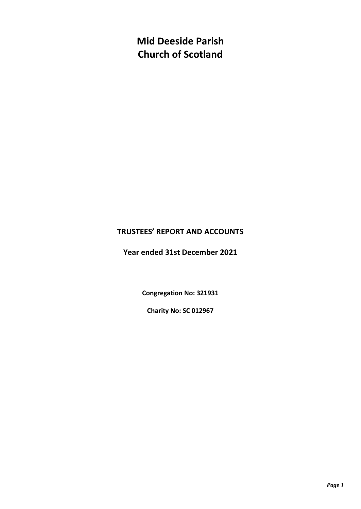**Mid Deeside Parish Church of Scotland**

## **TRUSTEES' REPORT AND ACCOUNTS**

**Year ended 31st December 2021**

**Congregation No: 321931**

**Charity No: SC 012967**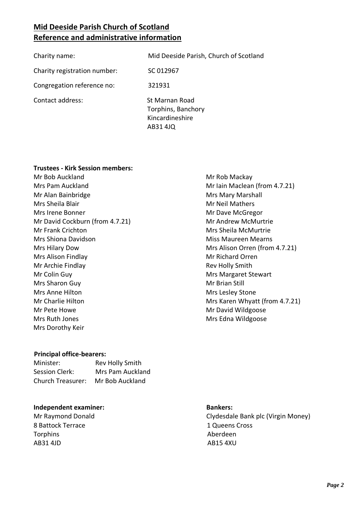# **Mid Deeside Parish Church of Scotland Reference and administrative information**

| Charity name:                | Mid Deeside Parish, Church of Scotland                              |
|------------------------------|---------------------------------------------------------------------|
| Charity registration number: | SC 012967                                                           |
| Congregation reference no:   | 321931                                                              |
| Contact address:             | St Marnan Road<br>Torphins, Banchory<br>Kincardineshire<br>AB31 4JQ |

#### **Trustees - Kirk Session members:**

Mr Bob Auckland Mrs Pam Auckland Mr Alan Bainbridge Mrs Sheila Blair Mrs Irene Bonner Mr David Cockburn (from 4.7.21) Mr Frank Crichton Mrs Shiona Davidson Mrs Hilary Dow Mrs Alison Findlay Mr Archie Findlay Mr Colin Guy Mrs Sharon Guy Mrs Anne Hilton Mr Charlie Hilton Mr Pete Howe Mrs Ruth Jones Mrs Dorothy Keir

#### **Principal office-bearers:**

| Minister:                | <b>Rev Holly Smith</b> |
|--------------------------|------------------------|
| Session Clerk:           | Mrs Pam Auckland       |
| <b>Church Treasurer:</b> | Mr Bob Auckland        |

#### **Independent examiner: Bankers:**

8 Battock Terrace **1 Queens Cross** Torphins **Aberdeen** AB31 4JD AB15 4XU

#### Mr Iain Maclean (from 4.7.21) Mrs Mary Marshall Mr Neil Mathers Mr Dave McGregor Mr Andrew McMurtrie Mrs Sheila McMurtrie Miss Maureen Mearns Mrs Alison Orren (from 4.7.21) Mr Richard Orren Rev Holly Smith Mrs Margaret Stewart Mr Brian Still Mrs Lesley Stone Mrs Karen Whyatt (from 4.7.21) Mr David Wildgoose Mrs Edna Wildgoose

Mr Rob Mackay

Mr Raymond Donald **Clydesdale Bank plc (Virgin Money)**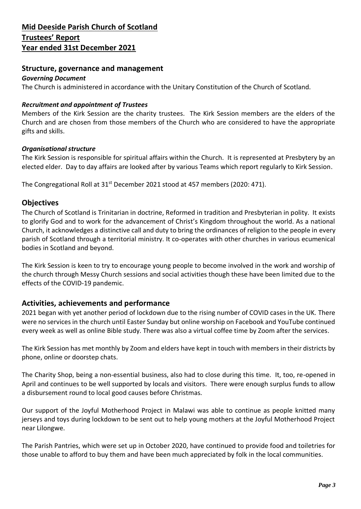#### **Structure, governance and management**

#### *Governing Document*

The Church is administered in accordance with the Unitary Constitution of the Church of Scotland.

#### *Recruitment and appointment of Trustees*

Members of the Kirk Session are the charity trustees. The Kirk Session members are the elders of the Church and are chosen from those members of the Church who are considered to have the appropriate gifts and skills.

#### *Organisational structure*

The Kirk Session is responsible for spiritual affairs within the Church. It is represented at Presbytery by an elected elder. Day to day affairs are looked after by various Teams which report regularly to Kirk Session.

The Congregational Roll at 31<sup>st</sup> December 2021 stood at 457 members (2020: 471).

#### **Objectives**

The Church of Scotland is Trinitarian in doctrine, Reformed in tradition and Presbyterian in polity. It exists to glorify God and to work for the advancement of Christ's Kingdom throughout the world. As a national Church, it acknowledges a distinctive call and duty to bring the ordinances of religion to the people in every parish of Scotland through a territorial ministry. It co-operates with other churches in various ecumenical bodies in Scotland and beyond.

The Kirk Session is keen to try to encourage young people to become involved in the work and worship of the church through Messy Church sessions and social activities though these have been limited due to the effects of the COVID-19 pandemic.

### **Activities, achievements and performance**

2021 began with yet another period of lockdown due to the rising number of COVID cases in the UK. There were no services in the church until Easter Sunday but online worship on Facebook and YouTube continued every week as well as online Bible study. There was also a virtual coffee time by Zoom after the services.

The Kirk Session has met monthly by Zoom and elders have kept in touch with members in their districts by phone, online or doorstep chats.

The Charity Shop, being a non-essential business, also had to close during this time. It, too, re-opened in April and continues to be well supported by locals and visitors. There were enough surplus funds to allow a disbursement round to local good causes before Christmas.

Our support of the Joyful Motherhood Project in Malawi was able to continue as people knitted many jerseys and toys during lockdown to be sent out to help young mothers at the Joyful Motherhood Project near Lilongwe.

The Parish Pantries, which were set up in October 2020, have continued to provide food and toiletries for those unable to afford to buy them and have been much appreciated by folk in the local communities.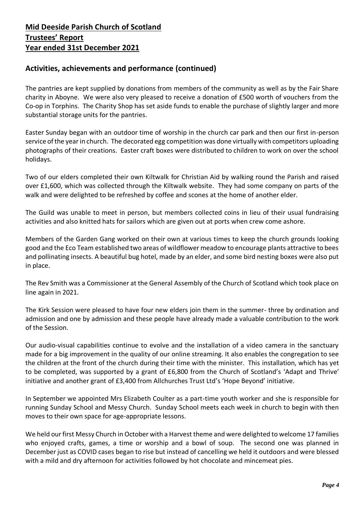## **Activities, achievements and performance (continued)**

The pantries are kept supplied by donations from members of the community as well as by the Fair Share charity in Aboyne. We were also very pleased to receive a donation of £500 worth of vouchers from the Co-op in Torphins. The Charity Shop has set aside funds to enable the purchase of slightly larger and more substantial storage units for the pantries.

Easter Sunday began with an outdoor time of worship in the church car park and then our first in-person service of the year in church. The decorated egg competition was done virtually with competitors uploading photographs of their creations. Easter craft boxes were distributed to children to work on over the school holidays.

Two of our elders completed their own Kiltwalk for Christian Aid by walking round the Parish and raised over £1,600, which was collected through the Kiltwalk website. They had some company on parts of the walk and were delighted to be refreshed by coffee and scones at the home of another elder.

The Guild was unable to meet in person, but members collected coins in lieu of their usual fundraising activities and also knitted hats for sailors which are given out at ports when crew come ashore.

Members of the Garden Gang worked on their own at various times to keep the church grounds looking good and the Eco Team established two areas of wildflower meadow to encourage plants attractive to bees and pollinating insects. A beautiful bug hotel, made by an elder, and some bird nesting boxes were also put in place.

The Rev Smith was a Commissioner at the General Assembly of the Church of Scotland which took place on line again in 2021.

The Kirk Session were pleased to have four new elders join them in the summer- three by ordination and admission and one by admission and these people have already made a valuable contribution to the work of the Session.

Our audio-visual capabilities continue to evolve and the installation of a video camera in the sanctuary made for a big improvement in the quality of our online streaming. It also enables the congregation to see the children at the front of the church during their time with the minister. This installation, which has yet to be completed, was supported by a grant of £6,800 from the Church of Scotland's 'Adapt and Thrive' initiative and another grant of £3,400 from Allchurches Trust Ltd's 'Hope Beyond' initiative.

In September we appointed Mrs Elizabeth Coulter as a part-time youth worker and she is responsible for running Sunday School and Messy Church. Sunday School meets each week in church to begin with then moves to their own space for age-appropriate lessons.

We held our first Messy Church in October with a Harvest theme and were delighted to welcome 17 families who enjoyed crafts, games, a time or worship and a bowl of soup. The second one was planned in December just as COVID cases began to rise but instead of cancelling we held it outdoors and were blessed with a mild and dry afternoon for activities followed by hot chocolate and mincemeat pies.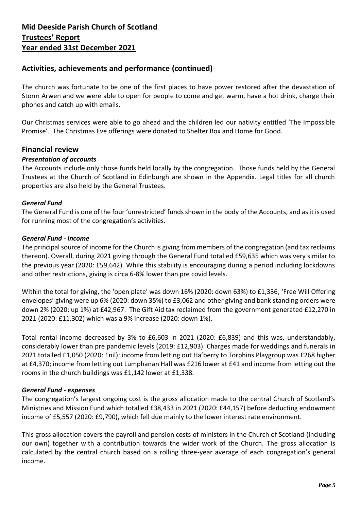## **Activities, achievements and performance (continued)**

The church was fortunate to be one of the first places to have power restored after the devastation of Storm Arwen and we were able to open for people to come and get warm, have a hot drink, charge their phones and catch up with emails.

Our Christmas services were able to go ahead and the children led our nativity entitled 'The Impossible Promise'. The Christmas Eve offerings were donated to Shelter Box and Home for Good.

#### **Financial review**

#### *Presentation of accounts*

The Accounts include only those funds held locally by the congregation. Those funds held by the General Trustees at the Church of Scotland in Edinburgh are shown in the Appendix. Legal titles for all church properties are also held by the General Trustees.

#### *General Fund*

The General Fund is one of the four 'unrestricted' funds shown in the body of the Accounts, and as it is used for running most of the congregation's activities.

#### *General Fund - income*

The principal source of income for the Church is giving from members of the congregation (and tax reclaims thereon). Overall, during 2021 giving through the General Fund totalled £59,635 which was very similar to the previous year (2020: £59,642). While this stability is encouraging during a period including lockdowns and other restrictions, giving is circa 6-8% lower than pre covid levels.

Within the total for giving, the 'open plate' was down 16% (2020: down 63%) to £1,336, 'Free Will Offering envelopes' giving were up 6% (2020: down 35%) to £3,062 and other giving and bank standing orders were down 2% (2020: up 1%) at £42,967. The Gift Aid tax reclaimed from the government generated £12,270 in 2021 (2020: £11,302) which was a 9% increase (2020: down 1%).

Total rental income decreased by 3% to £6,603 in 2021 (2020: £6,839) and this was, understandably, considerably lower than pre pandemic levels (2019: £12,903). Charges made for weddings and funerals in 2021 totalled £1,050 (2020: £nil); income from letting out Ha'berry to Torphins Playgroup was £268 higher at £4,370; income from letting out Lumphanan Hall was £216 lower at £41 and income from letting out the rooms in the church buildings was £1,142 lower at £1,338.

#### *General Fund - expenses*

The congregation's largest ongoing cost is the gross allocation made to the central Church of Scotland's Ministries and Mission Fund which totalled £38,433 in 2021 (2020: £44,157) before deducting endowment income of £5,557 (2020: £9,790), which fell due mainly to the lower interest rate environment.

This gross allocation covers the payroll and pension costs of ministers in the Church of Scotland (including our own) together with a contribution towards the wider work of the Church. The gross allocation is calculated by the central church based on a rolling three-year average of each congregation's general income.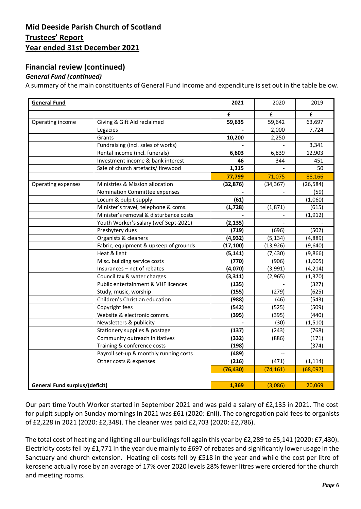## **Financial review (continued)**

#### *General Fund (continued)*

A summary of the main constituents of General Fund income and expenditure is set out in the table below.

| <b>General Fund</b>                   |                                        | 2021           | 2020                     | 2019      |
|---------------------------------------|----------------------------------------|----------------|--------------------------|-----------|
|                                       |                                        | £              | £                        | £         |
| Operating income                      | Giving & Gift Aid reclaimed            | 59,635         | 59,642                   | 63,697    |
|                                       | Legacies                               |                | 2,000                    | 7,724     |
|                                       | Grants                                 | 10,200         | 2,250                    |           |
|                                       | Fundraising (incl. sales of works)     |                |                          | 3,341     |
|                                       | Rental income (incl. funerals)         | 6,603          | 6,839                    | 12,903    |
|                                       | Investment income & bank interest      | 46             | 344                      | 451       |
|                                       | Sale of church artefacts/ firewood     | 1,315          |                          | 50        |
|                                       |                                        | 77,799         | 71,075                   | 88,166    |
| Operating expenses                    | Ministries & Mission allocation        | (32, 876)      | (34, 367)                | (26, 584) |
|                                       | Nomination Committee expenses          |                |                          | (59)      |
|                                       | Locum & pulpit supply                  | (61)           |                          | (1,060)   |
|                                       | Minister's travel, telephone & coms.   | (1, 728)       | (1, 871)                 | (615)     |
|                                       | Minister's removal & disturbance costs |                |                          | (1, 912)  |
|                                       | Youth Worker's salary (wef Sept-2021)  | (2, 135)       |                          |           |
|                                       | Presbytery dues                        | (719)          | (696)                    | (502)     |
|                                       | Organists & cleaners                   | (4, 932)       | (5, 134)                 | (4,889)   |
|                                       | Fabric, equipment & upkeep of grounds  | (17, 100)      | (13, 926)                | (9,640)   |
|                                       | Heat & light                           | (5, 141)       | (7, 430)                 | (9,866)   |
|                                       | Misc. building service costs           | (770)          | (906)                    | (1,005)   |
|                                       | Insurances - net of rebates            | (4,070)        | (3,991)                  | (4, 214)  |
|                                       | Council tax & water charges            | (3, 311)       | (2,965)                  | (1, 370)  |
|                                       | Public entertainment & VHF licences    | (135)          |                          | (327)     |
|                                       | Study, music, worship                  | (155)          | (279)                    | (625)     |
|                                       | Children's Christian education         | (988)          | (46)                     | (543)     |
|                                       | Copyright fees                         | (542)          | (525)                    | (509)     |
|                                       | Website & electronic comms.            | (395)          | (395)                    | (440)     |
|                                       | Newsletters & publicity                | $\overline{a}$ | (30)                     | (1, 510)  |
|                                       | Stationery supplies & postage          | (137)          | (243)                    | (768)     |
|                                       | Community outreach initiatives         | (332)          | (886)                    | (171)     |
|                                       | Training & conference costs            | (198)          | $\overline{\phantom{a}}$ | (374)     |
|                                       | Payroll set-up & monthly running costs | (489)          |                          |           |
|                                       | Other costs & expenses                 | (216)          | (471)                    | (1, 114)  |
|                                       |                                        | (76, 430)      | (74, 161)                | (68,097)  |
|                                       |                                        |                |                          |           |
| <b>General Fund surplus/(deficit)</b> |                                        | 1,369          | (3,086)                  | 20,069    |

Our part time Youth Worker started in September 2021 and was paid a salary of £2,135 in 2021. The cost for pulpit supply on Sunday mornings in 2021 was £61 (2020: £nil). The congregation paid fees to organists of £2,228 in 2021 (2020: £2,348). The cleaner was paid £2,703 (2020: £2,786).

The total cost of heating and lighting all our buildings fell again this year by £2,289 to £5,141 (2020: £7,430). Electricity costs fell by £1,771 in the year due mainly to £697 of rebates and significantly lower usage in the Sanctuary and church extension. Heating oil costs fell by £518 in the year and while the cost per litre of kerosene actually rose by an average of 17% over 2020 levels 28% fewer litres were ordered for the church and meeting rooms.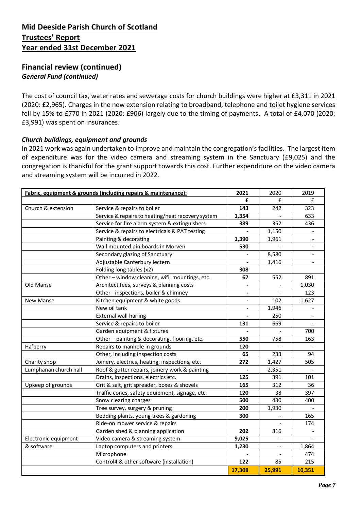### **Financial review (continued)** *General Fund (continued)*

The cost of council tax, water rates and sewerage costs for church buildings were higher at £3,311 in 2021 (2020: £2,965). Charges in the new extension relating to broadband, telephone and toilet hygiene services fell by 15% to £770 in 2021 (2020: £906) largely due to the timing of payments. A total of £4,070 (2020: £3,991) was spent on insurances.

#### *Church buildings, equipment and grounds*

In 2021 work was again undertaken to improve and maintain the congregation's facilities. The largest item of expenditure was for the video camera and streaming system in the Sanctuary (£9,025) and the congregation is thankful for the grant support towards this cost. Further expenditure on the video camera and streaming system will be incurred in 2022.

|                       | Fabric, equipment & grounds (including repairs & maintenance): | 2021                         | 2020   | 2019           |
|-----------------------|----------------------------------------------------------------|------------------------------|--------|----------------|
|                       |                                                                | £                            | £      | £              |
| Church & extension    | Service & repairs to boiler                                    | 143                          | 242    | 323            |
|                       | Service & repairs to heating/heat recovery system              | 1,354                        |        | 633            |
|                       | Service for fire alarm system & extinguishers                  | 389                          | 352    | 436            |
|                       | Service & repairs to electricals & PAT testing                 |                              | 1,150  |                |
|                       | Painting & decorating                                          | 1,390                        | 1,961  |                |
|                       | Wall mounted pin boards in Morven                              | 530                          |        |                |
|                       | Secondary glazing of Sanctuary                                 |                              | 8,580  |                |
|                       | Adjustable Canterbury lectern                                  |                              | 1,416  | $\blacksquare$ |
|                       | Folding long tables (x2)                                       | 308                          |        |                |
|                       | Other - window cleaning, wifi, mountings, etc.                 | 67                           | 552    | 891            |
| Old Manse             | Architect fees, surveys & planning costs                       | $\qquad \qquad \blacksquare$ |        | 1,030          |
|                       | Other - inspections, boiler & chimney                          | $\overline{\phantom{a}}$     |        | 123            |
| <b>New Manse</b>      | Kitchen equipment & white goods                                | $\overline{\phantom{a}}$     | 102    | 1,627          |
|                       | New oil tank                                                   | $\overline{\phantom{a}}$     | 1,946  |                |
|                       | <b>External wall harling</b>                                   |                              | 250    |                |
|                       | Service & repairs to boiler                                    | 131                          | 669    |                |
|                       | Garden equipment & fixtures                                    |                              |        | 700            |
|                       | Other-painting & decorating, flooring, etc.                    | 550                          | 758    | 163            |
| Ha'berry              | Repairs to manhole in grounds                                  | 120                          |        |                |
|                       | Other, including inspection costs                              | 65                           | 233    | 94             |
| Charity shop          | Joinery, electrics, heating, inspections, etc.                 | 272                          | 1,427  | 505            |
| Lumphanan church hall | Roof & gutter repairs, joinery work & painting                 |                              | 2,351  |                |
|                       | Drains, inspections, electrics etc.                            | 125                          | 391    | 101            |
| Upkeep of grounds     | Grit & salt, grit spreader, boxes & shovels                    | 165                          | 312    | 36             |
|                       | Traffic cones, safety equipment, signage, etc.                 | 120                          | 38     | 397            |
|                       | Snow clearing charges                                          | 500                          | 430    | 400            |
|                       | Tree survey, surgery & pruning                                 | 200                          | 1,930  |                |
|                       | Bedding plants, young trees & gardening                        | 300                          |        | 165            |
|                       | Ride-on mower service & repairs                                |                              |        | 174            |
|                       | Garden shed & planning application                             | 202                          | 816    |                |
| Electronic equipment  | Video camera & streaming system                                | 9,025                        |        |                |
| & software            | Laptop computers and printers                                  | 1,230                        |        | 1,864          |
|                       | Microphone                                                     |                              |        | 474            |
|                       | Control4 & other software (installation)                       | 122                          | 85     | 215            |
|                       |                                                                | 17,308                       | 25,991 | 10,351         |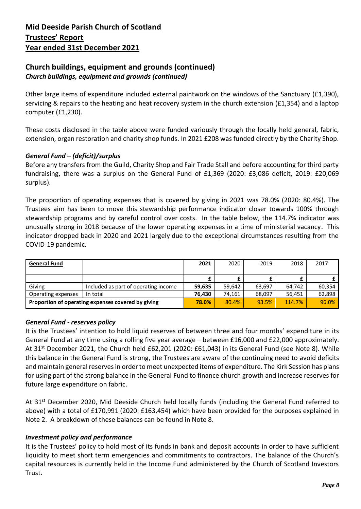## **Church buildings, equipment and grounds (continued)** *Church buildings, equipment and grounds (continued)*

Other large items of expenditure included external paintwork on the windows of the Sanctuary (£1,390), servicing & repairs to the heating and heat recovery system in the church extension (£1,354) and a laptop computer (£1,230).

These costs disclosed in the table above were funded variously through the locally held general, fabric, extension, organ restoration and charity shop funds. In 2021 £208 was funded directly by the Charity Shop.

### *General Fund – (deficit)/surplus*

Before any transfers from the Guild, Charity Shop and Fair Trade Stall and before accounting for third party fundraising, there was a surplus on the General Fund of £1,369 (2020: £3,086 deficit, 2019: £20,069 surplus).

The proportion of operating expenses that is covered by giving in 2021 was 78.0% (2020: 80.4%). The Trustees aim has been to move this stewardship performance indicator closer towards 100% through stewardship programs and by careful control over costs. In the table below, the 114.7% indicator was unusually strong in 2018 because of the lower operating expenses in a time of ministerial vacancy. This indicator dropped back in 2020 and 2021 largely due to the exceptional circumstances resulting from the COVID-19 pandemic.

| <b>General Fund</b>                                |                                      | 2021   | 2020   | 2019   | 2018   | 2017   |
|----------------------------------------------------|--------------------------------------|--------|--------|--------|--------|--------|
|                                                    |                                      |        |        |        |        |        |
|                                                    |                                      |        |        |        |        |        |
| Giving                                             | Included as part of operating income | 59.635 | 59,642 | 63,697 | 64.742 | 60.354 |
| Operating expenses                                 | In total                             | 76.430 | 74.161 | 68,097 | 56.451 | 62,898 |
| Proportion of operating expenses covered by giving |                                      | 78.0%  | 80.4%  | 93.5%  | 114.7% | 96.0%  |

#### *General Fund - reserves policy*

It is the Trustees' intention to hold liquid reserves of between three and four months' expenditure in its General Fund at any time using a rolling five year average – between £16,000 and £22,000 approximately. At 31st December 2021, the Church held £62,201 (2020: £61,043) in its General Fund (see Note 8). While this balance in the General Fund is strong, the Trustees are aware of the continuing need to avoid deficits and maintain general reserves in order to meet unexpected items of expenditure. The Kirk Session has plans for using part of the strong balance in the General Fund to finance church growth and increase reserves for future large expenditure on fabric.

At 31<sup>st</sup> December 2020, Mid Deeside Church held locally funds (including the General Fund referred to above) with a total of £170,991 (2020: £163,454) which have been provided for the purposes explained in Note 2. A breakdown of these balances can be found in Note 8.

#### *Investment policy and performance*

It is the Trustees' policy to hold most of its funds in bank and deposit accounts in order to have sufficient liquidity to meet short term emergencies and commitments to contractors. The balance of the Church's capital resources is currently held in the Income Fund administered by the Church of Scotland Investors Trust.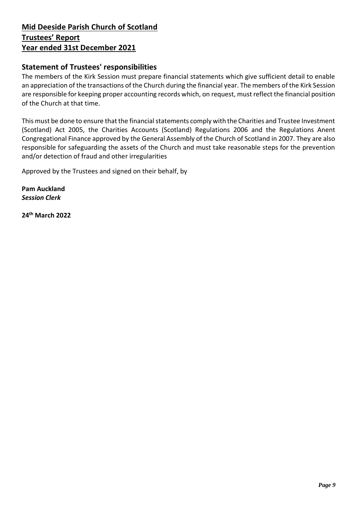## **Statement of Trustees' responsibilities**

The members of the Kirk Session must prepare financial statements which give sufficient detail to enable an appreciation of the transactions of the Church during the financial year. The members of the Kirk Session are responsible for keeping proper accounting records which, on request, must reflect the financial position of the Church at that time.

This must be done to ensure that the financial statements comply with the Charities and Trustee Investment (Scotland) Act 2005, the Charities Accounts (Scotland) Regulations 2006 and the Regulations Anent Congregational Finance approved by the General Assembly of the Church of Scotland in 2007. They are also responsible for safeguarding the assets of the Church and must take reasonable steps for the prevention and/or detection of fraud and other irregularities

Approved by the Trustees and signed on their behalf, by

**Pam Auckland** *Session Clerk*

**24 th March 2022**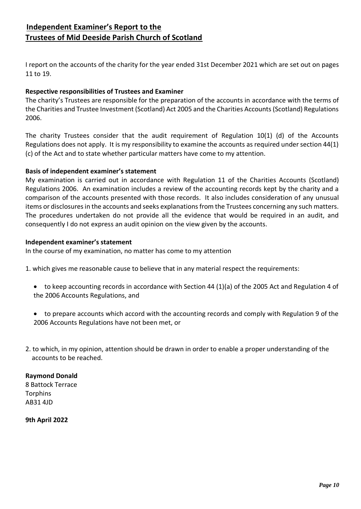# **Independent Examiner's Report to the Trustees of Mid Deeside Parish Church of Scotland**

I report on the accounts of the charity for the year ended 31st December 2021 which are set out on pages 11 to 19.

#### **Respective responsibilities of Trustees and Examiner**

The charity's Trustees are responsible for the preparation of the accounts in accordance with the terms of the Charities and Trustee Investment (Scotland) Act 2005 and the Charities Accounts (Scotland) Regulations 2006.

The charity Trustees consider that the audit requirement of Regulation 10(1) (d) of the Accounts Regulations does not apply. It is my responsibility to examine the accounts as required under section 44(1) (c) of the Act and to state whether particular matters have come to my attention.

#### **Basis of independent examiner's statement**

My examination is carried out in accordance with Regulation 11 of the Charities Accounts (Scotland) Regulations 2006. An examination includes a review of the accounting records kept by the charity and a comparison of the accounts presented with those records. It also includes consideration of any unusual items or disclosures in the accounts and seeks explanations from the Trustees concerning any such matters. The procedures undertaken do not provide all the evidence that would be required in an audit, and consequently I do not express an audit opinion on the view given by the accounts.

#### **Independent examiner's statement**

In the course of my examination, no matter has come to my attention

1. which gives me reasonable cause to believe that in any material respect the requirements:

- to keep accounting records in accordance with Section 44 (1)(a) of the 2005 Act and Regulation 4 of the 2006 Accounts Regulations, and
- to prepare accounts which accord with the accounting records and comply with Regulation 9 of the 2006 Accounts Regulations have not been met, or
- 2. to which, in my opinion, attention should be drawn in order to enable a proper understanding of the accounts to be reached.

#### **Raymond Donald**

8 Battock Terrace **Torphins** AB31 4JD

**9th April 2022**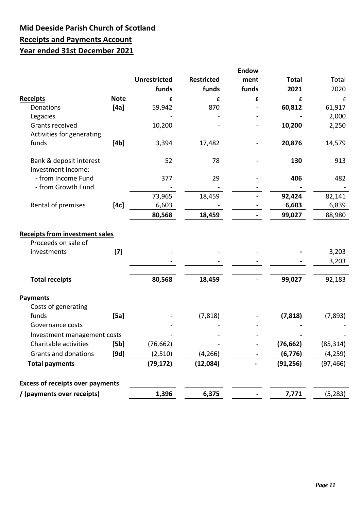# **Mid Deeside Parish Church of Scotland Receipts and Payments Account Year ended 31st December 2021**

|                                         |             |                     |                   | <b>Endow</b> |              |           |
|-----------------------------------------|-------------|---------------------|-------------------|--------------|--------------|-----------|
|                                         |             | <b>Unrestricted</b> | <b>Restricted</b> | ment         | <b>Total</b> | Total     |
|                                         |             | funds               | funds             | funds        | 2021         | 2020      |
| <b>Receipts</b>                         | <b>Note</b> | £                   | £                 | £            | £            | £         |
| Donations                               | [4a]        | 59,942              | 870               |              | 60,812       | 61,917    |
| Legacies                                |             |                     |                   |              |              | 2,000     |
| Grants received                         |             | 10,200              |                   |              | 10,200       | 2,250     |
| Activities for generating               |             |                     |                   |              |              |           |
| funds                                   | [4b]        | 3,394               | 17,482            |              | 20,876       | 14,579    |
| Bank & deposit interest                 |             | 52                  | 78                |              | 130          | 913       |
| Investment income:                      |             |                     |                   |              |              |           |
| - from Income Fund                      |             | 377                 | 29                |              | 406          | 482       |
| - from Growth Fund                      |             |                     |                   |              |              |           |
|                                         |             | 73,965              | 18,459            |              | 92,424       | 82,141    |
| Rental of premises                      | [4c]        | 6,603               |                   |              | 6,603        | 6,839     |
|                                         |             | 80,568              | 18,459            |              | 99,027       | 88,980    |
| <b>Receipts from investment sales</b>   |             |                     |                   |              |              |           |
| Proceeds on sale of                     |             |                     |                   |              |              |           |
| investments                             | $[7]$       |                     |                   |              |              | 3,203     |
|                                         |             |                     |                   |              |              | 3,203     |
|                                         |             |                     |                   |              |              |           |
| <b>Total receipts</b>                   |             | 80,568              | 18,459            |              | 99,027       | 92,183    |
| <b>Payments</b>                         |             |                     |                   |              |              |           |
| Costs of generating                     |             |                     |                   |              |              |           |
| funds                                   | [5a]        |                     | (7, 818)          |              | (7, 818)     | (7, 893)  |
| Governance costs                        |             |                     |                   |              |              |           |
| Investment management costs             |             |                     |                   |              |              |           |
| Charitable activities                   | [5b]        | (76, 662)           |                   |              | (76, 662)    | (85, 314) |
| Grants and donations                    | [9d]        | (2,510)             | (4, 266)          |              | (6, 776)     | (4, 259)  |
| <b>Total payments</b>                   |             | (79, 172)           | (12,084)          |              | (91, 256)    | (97, 466) |
|                                         |             |                     |                   |              |              |           |
| <b>Excess of receipts over payments</b> |             |                     |                   |              |              |           |
| / (payments over receipts)              |             | 1,396               | 6,375             |              | 7,771        | (5, 283)  |
|                                         |             |                     |                   |              |              |           |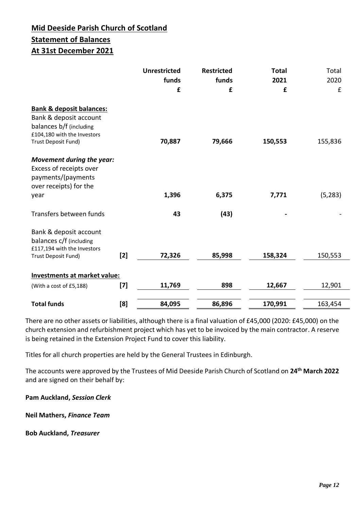# **Mid Deeside Parish Church of Scotland Statement of Balances**

# **At 31st December 2021**

|                                     |       | <b>Unrestricted</b> | <b>Restricted</b> | <b>Total</b> | Total    |
|-------------------------------------|-------|---------------------|-------------------|--------------|----------|
|                                     |       | funds               | funds             | 2021         | 2020     |
|                                     |       | £                   | £                 | £            | £        |
| <b>Bank &amp; deposit balances:</b> |       |                     |                   |              |          |
| Bank & deposit account              |       |                     |                   |              |          |
| balances b/f (including             |       |                     |                   |              |          |
| £104,180 with the Investors         |       |                     |                   |              |          |
| Trust Deposit Fund)                 |       | 70,887              | 79,666            | 150,553      | 155,836  |
| Movement during the year:           |       |                     |                   |              |          |
| Excess of receipts over             |       |                     |                   |              |          |
| payments/(payments                  |       |                     |                   |              |          |
| over receipts) for the              |       |                     |                   |              |          |
| year                                |       | 1,396               | 6,375             | 7,771        | (5, 283) |
| Transfers between funds             |       | 43                  | (43)              |              |          |
| Bank & deposit account              |       |                     |                   |              |          |
| balances c/f (including             |       |                     |                   |              |          |
| £117,194 with the Investors         |       |                     |                   |              |          |
| Trust Deposit Fund)                 | $[2]$ | 72,326              | 85,998            | 158,324      | 150,553  |
| Investments at market value:        |       |                     |                   |              |          |
| (With a cost of £5,188)             | $[7]$ | 11,769              | 898               | 12,667       | 12,901   |
|                                     |       |                     |                   |              |          |
| <b>Total funds</b>                  | [8]   | 84,095              | 86,896            | 170,991      | 163,454  |

There are no other assets or liabilities, although there is a final valuation of £45,000 (2020: £45,000) on the church extension and refurbishment project which has yet to be invoiced by the main contractor. A reserve is being retained in the Extension Project Fund to cover this liability.

Titles for all church properties are held by the General Trustees in Edinburgh.

The accounts were approved by the Trustees of Mid Deeside Parish Church of Scotland on **24th March 2022** and are signed on their behalf by:

**Pam Auckland,** *Session Clerk*

**Neil Mathers,** *Finance Team*

**Bob Auckland,** *Treasurer*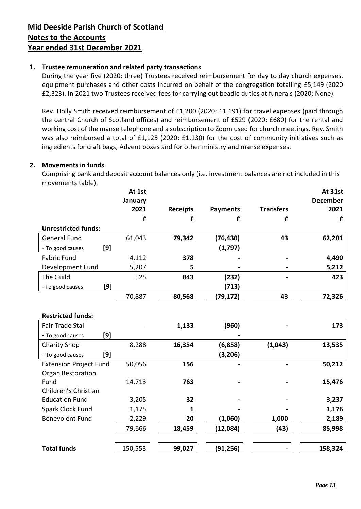#### **1. Trustee remuneration and related party transactions**

During the year five (2020: three) Trustees received reimbursement for day to day church expenses, equipment purchases and other costs incurred on behalf of the congregation totalling £5,149 (2020 £2,323). In 2021 two Trustees received fees for carrying out beadle duties at funerals (2020: None).

Rev. Holly Smith received reimbursement of £1,200 (2020: £1,191) for travel expenses (paid through the central Church of Scotland offices) and reimbursement of £529 (2020: £680) for the rental and working cost of the manse telephone and a subscription to Zoom used for church meetings. Rev. Smith was also reimbursed a total of £1,125 (2020: £1,130) for the cost of community initiatives such as ingredients for craft bags, Advent boxes and for other ministry and manse expenses.

#### **2. Movements in funds**

Comprising bank and deposit account balances only (i.e. investment balances are not included in this movements table).

|                               | At 1st  |                 |                 |                  | At 31st         |
|-------------------------------|---------|-----------------|-----------------|------------------|-----------------|
|                               | January |                 |                 |                  | <b>December</b> |
|                               | 2021    | <b>Receipts</b> | <b>Payments</b> | <b>Transfers</b> | 2021            |
|                               | £       | £               | £               | £                | £               |
| <b>Unrestricted funds:</b>    |         |                 |                 |                  |                 |
| <b>General Fund</b>           | 61,043  | 79,342          | (76, 430)       | 43               | 62,201          |
| [9]<br>- To good causes       |         |                 | (1,797)         |                  |                 |
| <b>Fabric Fund</b>            | 4,112   | 378             |                 |                  | 4,490           |
| Development Fund              | 5,207   | 5               |                 |                  | 5,212           |
| The Guild                     | 525     | 843             | (232)           |                  | 423             |
| [9]<br>- To good causes       |         |                 | (713)           |                  |                 |
|                               | 70,887  | 80,568          | (79, 172)       | 43               | 72,326          |
|                               |         |                 |                 |                  |                 |
| <b>Restricted funds:</b>      |         |                 |                 |                  |                 |
| <b>Fair Trade Stall</b>       |         | 1,133           | (960)           |                  | 173             |
| [9]<br>- To good causes       |         |                 |                 |                  |                 |
| <b>Charity Shop</b>           | 8,288   | 16,354          | (6,858)         | (1,043)          | 13,535          |
| [9]<br>- To good causes       |         |                 | (3, 206)        |                  |                 |
| <b>Extension Project Fund</b> | 50,056  | 156             |                 |                  | 50,212          |
| <b>Organ Restoration</b>      |         |                 |                 |                  |                 |
| Fund                          | 14,713  | 763             |                 |                  | 15,476          |
| Children's Christian          |         |                 |                 |                  |                 |
| <b>Education Fund</b>         | 3,205   | 32              |                 |                  | 3,237           |
| Spark Clock Fund              | 1,175   | 1               |                 |                  | 1,176           |
| <b>Benevolent Fund</b>        | 2,229   | 20              | (1,060)         | 1,000            | 2,189           |
|                               | 79,666  | 18,459          | (12,084)        | (43)             | 85,998          |
|                               |         |                 |                 |                  |                 |
| <b>Total funds</b>            | 150,553 | 99,027          | (91, 256)       |                  | 158,324         |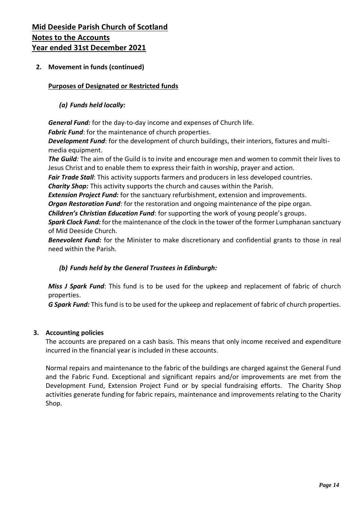#### **2. Movement in funds (continued)**

#### **Purposes of Designated or Restricted funds**

#### *(a) Funds held locally:*

*General Fund:* for the day-to-day income and expenses of Church life.

*Fabric Fund*: for the maintenance of church properties.

*Development Fund*: for the development of church buildings, their interiors, fixtures and multimedia equipment.

*The Guild:* The aim of the Guild is to invite and encourage men and women to commit their lives to Jesus Christ and to enable them to express their faith in worship, prayer and action.

*Fair Trade Stall*: This activity supports farmers and producers in less developed countries.

*Charity Shop:* This activity supports the church and causes within the Parish.

*Extension Project Fund:* for the sanctuary refurbishment, extension and improvements.

*Organ Restoration Fund*: for the restoration and ongoing maintenance of the pipe organ.

*Children's Christian Education Fund*: for supporting the work of young people's groups.

*Spark Clock Fund:* for the maintenance of the clock in the tower of the former Lumphanan sanctuary of Mid Deeside Church.

*Benevolent Fund:* for the Minister to make discretionary and confidential grants to those in real need within the Parish.

### *(b) Funds held by the General Trustees in Edinburgh:*

*Miss J Spark Fund*: This fund is to be used for the upkeep and replacement of fabric of church properties.

*G Spark Fund:* This fund is to be used for the upkeep and replacement of fabric of church properties.

#### **3. Accounting policies**

The accounts are prepared on a cash basis. This means that only income received and expenditure incurred in the financial year is included in these accounts.

Normal repairs and maintenance to the fabric of the buildings are charged against the General Fund and the Fabric Fund. Exceptional and significant repairs and/or improvements are met from the Development Fund, Extension Project Fund or by special fundraising efforts. The Charity Shop activities generate funding for fabric repairs, maintenance and improvements relating to the Charity Shop.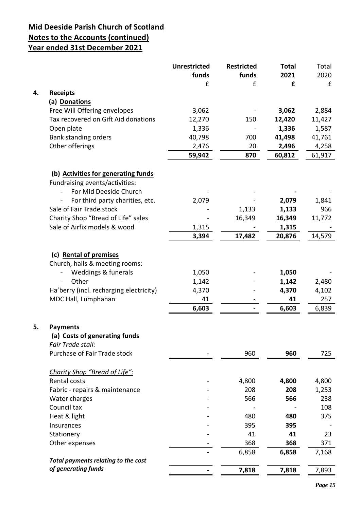|    |                                         | <b>Unrestricted</b> | <b>Restricted</b> | <b>Total</b> | Total  |
|----|-----------------------------------------|---------------------|-------------------|--------------|--------|
|    |                                         | funds               | funds             | 2021         | 2020   |
| 4. |                                         | £                   | £                 | £            | £      |
|    | <b>Receipts</b><br>(a) Donations        |                     |                   |              |        |
|    | Free Will Offering envelopes            | 3,062               |                   | 3,062        | 2,884  |
|    | Tax recovered on Gift Aid donations     | 12,270              | 150               | 12,420       | 11,427 |
|    |                                         |                     |                   | 1,336        |        |
|    | Open plate<br>Bank standing orders      | 1,336<br>40,798     | 700               | 41,498       | 1,587  |
|    | Other offerings                         |                     | 20                | 2,496        | 41,761 |
|    |                                         | 2,476               |                   |              | 4,258  |
|    |                                         | 59,942              | 870               | 60,812       | 61,917 |
|    | (b) Activities for generating funds     |                     |                   |              |        |
|    | Fundraising events/activities:          |                     |                   |              |        |
|    | For Mid Deeside Church                  |                     |                   |              |        |
|    | For third party charities, etc.         | 2,079               |                   | 2,079        | 1,841  |
|    | Sale of Fair Trade stock                |                     | 1,133             | 1,133        | 966    |
|    | Charity Shop "Bread of Life" sales      |                     | 16,349            | 16,349       | 11,772 |
|    | Sale of Airfix models & wood            | 1,315               |                   | 1,315        |        |
|    |                                         | 3,394               | 17,482            | 20,876       | 14,579 |
|    |                                         |                     |                   |              |        |
|    | (c) Rental of premises                  |                     |                   |              |        |
|    | Church, halls & meeting rooms:          |                     |                   |              |        |
|    | <b>Weddings &amp; funerals</b>          | 1,050               |                   | 1,050        |        |
|    | Other                                   | 1,142               |                   | 1,142        | 2,480  |
|    | Ha'berry (incl. recharging electricity) | 4,370               |                   | 4,370        | 4,102  |
|    | MDC Hall, Lumphanan                     | 41                  |                   | 41           | 257    |
|    |                                         | 6,603               |                   | 6,603        | 6,839  |
|    |                                         |                     |                   |              |        |
| 5. | <b>Payments</b>                         |                     |                   |              |        |
|    | (a) Costs of generating funds           |                     |                   |              |        |
|    | Fair Trade stall:                       |                     |                   |              |        |
|    | Purchase of Fair Trade stock            |                     | 960               | 960          | 725    |
|    | Charity Shop "Bread of Life":           |                     |                   |              |        |
|    | Rental costs                            |                     | 4,800             | 4,800        | 4,800  |
|    | Fabric - repairs & maintenance          |                     | 208               | 208          | 1,253  |
|    | Water charges                           |                     | 566               | 566          | 238    |
|    | Council tax                             |                     |                   |              | 108    |
|    | Heat & light                            |                     | 480               | 480          | 375    |
|    | Insurances                              |                     | 395               | 395          |        |
|    | Stationery                              |                     | 41                | 41           | 23     |
|    | Other expenses                          |                     | 368               | 368          | 371    |
|    |                                         |                     |                   |              |        |
|    | Total payments relating to the cost     |                     | 6,858             | 6,858        | 7,168  |
|    | of generating funds                     |                     | 7,818             | 7,818        | 7,893  |
|    |                                         |                     |                   |              |        |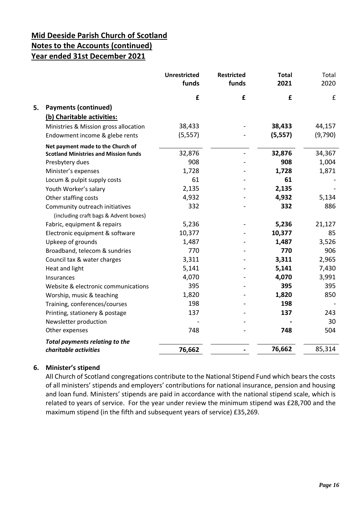|    |                                                                         | <b>Unrestricted</b><br>funds | <b>Restricted</b><br>funds | <b>Total</b><br>2021 | Total<br>2020 |
|----|-------------------------------------------------------------------------|------------------------------|----------------------------|----------------------|---------------|
|    |                                                                         | £                            | £                          | £                    | £             |
| 5. | <b>Payments (continued)</b>                                             |                              |                            |                      |               |
|    | (b) Charitable activities:                                              |                              |                            |                      |               |
|    | Ministries & Mission gross allocation                                   | 38,433                       |                            | 38,433               | 44,157        |
|    | Endowment income & glebe rents                                          | (5, 557)                     |                            | (5, 557)             | (9,790)       |
|    | Net payment made to the Church of                                       |                              |                            |                      |               |
|    | <b>Scotland Ministries and Mission funds</b>                            | 32,876                       |                            | 32,876               | 34,367        |
|    | Presbytery dues                                                         | 908                          |                            | 908                  | 1,004         |
|    | Minister's expenses                                                     | 1,728                        |                            | 1,728                | 1,871         |
|    | Locum & pulpit supply costs                                             | 61                           |                            | 61                   |               |
|    | Youth Worker's salary                                                   | 2,135                        |                            | 2,135                |               |
|    | Other staffing costs                                                    | 4,932                        |                            | 4,932                | 5,134         |
|    | Community outreach initiatives<br>(including craft bags & Advent boxes) | 332                          |                            | 332                  | 886           |
|    | Fabric, equipment & repairs                                             | 5,236                        |                            | 5,236                | 21,127        |
|    | Electronic equipment & software                                         | 10,377                       |                            | 10,377               | 85            |
|    | Upkeep of grounds                                                       | 1,487                        |                            | 1,487                | 3,526         |
|    | Broadband, telecom & sundries                                           | 770                          |                            | 770                  | 906           |
|    | Council tax & water charges                                             | 3,311                        |                            | 3,311                | 2,965         |
|    | Heat and light                                                          | 5,141                        |                            | 5,141                | 7,430         |
|    | Insurances                                                              | 4,070                        |                            | 4,070                | 3,991         |
|    | Website & electronic communications                                     | 395                          |                            | 395                  | 395           |
|    | Worship, music & teaching                                               | 1,820                        |                            | 1,820                | 850           |
|    | Training, conferences/courses                                           | 198                          |                            | 198                  |               |
|    | Printing, stationery & postage                                          | 137                          |                            | 137                  | 243           |
|    | Newsletter production                                                   |                              |                            |                      | 30            |
|    | Other expenses                                                          | 748                          |                            | 748                  | 504           |
|    | <b>Total payments relating to the</b>                                   |                              |                            |                      |               |
|    | charitable activities                                                   | 76,662                       |                            | 76,662               | 85,314        |

#### **6. Minister's stipend**

All Church of Scotland congregations contribute to the National Stipend Fund which bears the costs of all ministers' stipends and employers' contributions for national insurance, pension and housing and loan fund. Ministers' stipends are paid in accordance with the national stipend scale, which is related to years of service. For the year under review the minimum stipend was £28,700 and the maximum stipend (in the fifth and subsequent years of service) £35,269.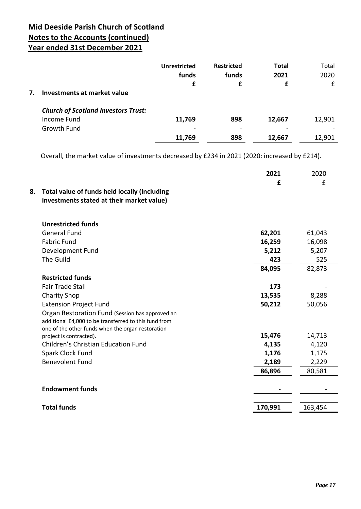|    |                                            | <b>Unrestricted</b> | <b>Restricted</b>                                                                                                                                            | <b>Total</b>             | Total  |
|----|--------------------------------------------|---------------------|--------------------------------------------------------------------------------------------------------------------------------------------------------------|--------------------------|--------|
|    |                                            | funds               | funds                                                                                                                                                        | 2021                     | 2020   |
|    |                                            | £                   |                                                                                                                                                              | £                        | £      |
| 7. | Investments at market value                |                     |                                                                                                                                                              |                          |        |
|    | <b>Church of Scotland Investors Trust:</b> |                     |                                                                                                                                                              |                          |        |
|    | Income Fund                                | 11,769              | 898                                                                                                                                                          | 12,667                   | 12,901 |
|    | Growth Fund                                | $\blacksquare$      | $\hskip1.6pt\hskip1.6pt\hskip1.6pt\hskip1.6pt\hskip1.6pt\hskip1.6pt\hskip1.6pt\hskip1.6pt\hskip1.6pt\hskip1.6pt\hskip1.6pt\hskip1.6pt\hskip1.6pt\hskip1.6pt$ | $\overline{\phantom{0}}$ |        |
|    |                                            | 11,769              | 898                                                                                                                                                          | 12,667                   | 12,901 |

Overall, the market value of investments decreased by £234 in 2021 (2020: increased by £214).

| 8. | Total value of funds held locally (including<br>investments stated at their market value)                                                                     | 2021<br>£ | 2020<br>£ |
|----|---------------------------------------------------------------------------------------------------------------------------------------------------------------|-----------|-----------|
|    | <b>Unrestricted funds</b>                                                                                                                                     |           |           |
|    | <b>General Fund</b>                                                                                                                                           | 62,201    | 61,043    |
|    | <b>Fabric Fund</b>                                                                                                                                            | 16,259    | 16,098    |
|    | Development Fund                                                                                                                                              | 5,212     | 5,207     |
|    | The Guild                                                                                                                                                     | 423       | 525       |
|    |                                                                                                                                                               | 84,095    | 82,873    |
|    | <b>Restricted funds</b>                                                                                                                                       |           |           |
|    | <b>Fair Trade Stall</b>                                                                                                                                       | 173       |           |
|    | <b>Charity Shop</b>                                                                                                                                           | 13,535    | 8,288     |
|    | <b>Extension Project Fund</b>                                                                                                                                 | 50,212    | 50,056    |
|    | Organ Restoration Fund (Session has approved an<br>additional £4,000 to be transferred to this fund from<br>one of the other funds when the organ restoration |           |           |
|    | project is contracted).                                                                                                                                       | 15,476    | 14,713    |
|    | <b>Children's Christian Education Fund</b>                                                                                                                    | 4,135     | 4,120     |
|    | Spark Clock Fund                                                                                                                                              | 1,176     | 1,175     |
|    | <b>Benevolent Fund</b>                                                                                                                                        | 2,189     | 2,229     |
|    |                                                                                                                                                               | 86,896    | 80,581    |
|    | <b>Endowment funds</b>                                                                                                                                        |           |           |
|    | <b>Total funds</b>                                                                                                                                            | 170,991   | 163,454   |
|    |                                                                                                                                                               |           |           |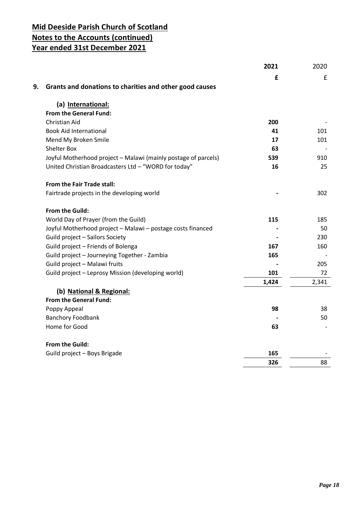|    |                                                                | 2021  | 2020  |
|----|----------------------------------------------------------------|-------|-------|
|    |                                                                | £     | £     |
| 9. | Grants and donations to charities and other good causes        |       |       |
|    | (a) International:                                             |       |       |
|    | <b>From the General Fund:</b>                                  |       |       |
|    | Christian Aid                                                  | 200   |       |
|    | <b>Book Aid International</b>                                  | 41    | 101   |
|    | Mend My Broken Smile                                           | 17    | 101   |
|    | <b>Shelter Box</b>                                             | 63    |       |
|    | Joyful Motherhood project - Malawi (mainly postage of parcels) | 539   | 910   |
|    | United Christian Broadcasters Ltd - "WORD for today"           | 16    | 25    |
|    | <b>From the Fair Trade stall:</b>                              |       |       |
|    | Fairtrade projects in the developing world                     |       | 302   |
|    | From the Guild:                                                |       |       |
|    | World Day of Prayer (from the Guild)                           | 115   | 185   |
|    | Joyful Motherhood project - Malawi - postage costs financed    |       | 50    |
|    | Guild project - Sailors Society                                |       | 230   |
|    | Guild project - Friends of Bolenga                             | 167   | 160   |
|    | Guild project - Journeying Together - Zambia                   | 165   |       |
|    | Guild project - Malawi fruits                                  |       | 205   |
|    | Guild project - Leprosy Mission (developing world)             | 101   | 72    |
|    |                                                                | 1,424 | 2,341 |
|    | (b) National & Regional:                                       |       |       |
|    | From the General Fund:                                         |       |       |
|    | Poppy Appeal                                                   | 98    | 38    |
|    | <b>Banchory Foodbank</b>                                       |       | 50    |
|    | Home for Good                                                  | 63    |       |
|    | From the Guild:                                                |       |       |
|    | Guild project - Boys Brigade                                   | 165   |       |
|    |                                                                | 326   | 88    |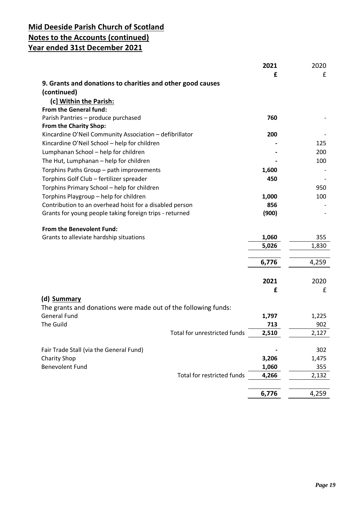| 9. Grants and donations to charities and other good causes<br>(continued)<br>(c] Within the Parish:<br>From the General fund:<br>Parish Pantries - produce purchased<br>760<br>From the Charity Shop:<br>Kincardine O'Neil Community Association - defibrillator<br>200<br>Kincardine O'Neil School - help for children<br>125<br>Lumphanan School - help for children<br>200<br>The Hut, Lumphanan - help for children<br>100<br>Torphins Paths Group - path improvements<br>1,600<br>Torphins Golf Club - fertilizer spreader<br>450<br>950<br>Torphins Primary School - help for children<br>Torphins Playgroup - help for children<br>1,000<br>100<br>Contribution to an overhead hoist for a disabled person<br>856<br>Grants for young people taking foreign trips - returned<br>(900)<br>From the Benevolent Fund:<br>Grants to alleviate hardship situations<br>1,060<br>355<br>5,026<br>1,830<br>6,776<br>4,259<br>2021<br>2020<br>£<br>£<br>(d) Summary<br>The grants and donations were made out of the following funds:<br><b>General Fund</b><br>1,797<br>1,225<br>The Guild<br>713<br>902<br>Total for unrestricted funds<br>2,510<br>2,127<br>Fair Trade Stall (via the General Fund)<br>302<br><b>Charity Shop</b><br>3,206<br>1,475<br><b>Benevolent Fund</b><br>1,060<br>355<br><b>Total for restricted funds</b><br>4,266<br>2,132 | 2021<br>£ | 2020<br>£ |
|-------------------------------------------------------------------------------------------------------------------------------------------------------------------------------------------------------------------------------------------------------------------------------------------------------------------------------------------------------------------------------------------------------------------------------------------------------------------------------------------------------------------------------------------------------------------------------------------------------------------------------------------------------------------------------------------------------------------------------------------------------------------------------------------------------------------------------------------------------------------------------------------------------------------------------------------------------------------------------------------------------------------------------------------------------------------------------------------------------------------------------------------------------------------------------------------------------------------------------------------------------------------------------------------------------------------------------------------------------|-----------|-----------|
|                                                                                                                                                                                                                                                                                                                                                                                                                                                                                                                                                                                                                                                                                                                                                                                                                                                                                                                                                                                                                                                                                                                                                                                                                                                                                                                                                       |           |           |
|                                                                                                                                                                                                                                                                                                                                                                                                                                                                                                                                                                                                                                                                                                                                                                                                                                                                                                                                                                                                                                                                                                                                                                                                                                                                                                                                                       |           |           |
|                                                                                                                                                                                                                                                                                                                                                                                                                                                                                                                                                                                                                                                                                                                                                                                                                                                                                                                                                                                                                                                                                                                                                                                                                                                                                                                                                       |           |           |
|                                                                                                                                                                                                                                                                                                                                                                                                                                                                                                                                                                                                                                                                                                                                                                                                                                                                                                                                                                                                                                                                                                                                                                                                                                                                                                                                                       |           |           |
|                                                                                                                                                                                                                                                                                                                                                                                                                                                                                                                                                                                                                                                                                                                                                                                                                                                                                                                                                                                                                                                                                                                                                                                                                                                                                                                                                       |           |           |
|                                                                                                                                                                                                                                                                                                                                                                                                                                                                                                                                                                                                                                                                                                                                                                                                                                                                                                                                                                                                                                                                                                                                                                                                                                                                                                                                                       |           |           |
|                                                                                                                                                                                                                                                                                                                                                                                                                                                                                                                                                                                                                                                                                                                                                                                                                                                                                                                                                                                                                                                                                                                                                                                                                                                                                                                                                       |           |           |
|                                                                                                                                                                                                                                                                                                                                                                                                                                                                                                                                                                                                                                                                                                                                                                                                                                                                                                                                                                                                                                                                                                                                                                                                                                                                                                                                                       |           |           |
|                                                                                                                                                                                                                                                                                                                                                                                                                                                                                                                                                                                                                                                                                                                                                                                                                                                                                                                                                                                                                                                                                                                                                                                                                                                                                                                                                       |           |           |
|                                                                                                                                                                                                                                                                                                                                                                                                                                                                                                                                                                                                                                                                                                                                                                                                                                                                                                                                                                                                                                                                                                                                                                                                                                                                                                                                                       |           |           |
|                                                                                                                                                                                                                                                                                                                                                                                                                                                                                                                                                                                                                                                                                                                                                                                                                                                                                                                                                                                                                                                                                                                                                                                                                                                                                                                                                       |           |           |
|                                                                                                                                                                                                                                                                                                                                                                                                                                                                                                                                                                                                                                                                                                                                                                                                                                                                                                                                                                                                                                                                                                                                                                                                                                                                                                                                                       |           |           |
|                                                                                                                                                                                                                                                                                                                                                                                                                                                                                                                                                                                                                                                                                                                                                                                                                                                                                                                                                                                                                                                                                                                                                                                                                                                                                                                                                       |           |           |
|                                                                                                                                                                                                                                                                                                                                                                                                                                                                                                                                                                                                                                                                                                                                                                                                                                                                                                                                                                                                                                                                                                                                                                                                                                                                                                                                                       |           |           |
|                                                                                                                                                                                                                                                                                                                                                                                                                                                                                                                                                                                                                                                                                                                                                                                                                                                                                                                                                                                                                                                                                                                                                                                                                                                                                                                                                       |           |           |
|                                                                                                                                                                                                                                                                                                                                                                                                                                                                                                                                                                                                                                                                                                                                                                                                                                                                                                                                                                                                                                                                                                                                                                                                                                                                                                                                                       |           |           |
|                                                                                                                                                                                                                                                                                                                                                                                                                                                                                                                                                                                                                                                                                                                                                                                                                                                                                                                                                                                                                                                                                                                                                                                                                                                                                                                                                       |           |           |
|                                                                                                                                                                                                                                                                                                                                                                                                                                                                                                                                                                                                                                                                                                                                                                                                                                                                                                                                                                                                                                                                                                                                                                                                                                                                                                                                                       |           |           |
|                                                                                                                                                                                                                                                                                                                                                                                                                                                                                                                                                                                                                                                                                                                                                                                                                                                                                                                                                                                                                                                                                                                                                                                                                                                                                                                                                       |           |           |
|                                                                                                                                                                                                                                                                                                                                                                                                                                                                                                                                                                                                                                                                                                                                                                                                                                                                                                                                                                                                                                                                                                                                                                                                                                                                                                                                                       |           |           |
|                                                                                                                                                                                                                                                                                                                                                                                                                                                                                                                                                                                                                                                                                                                                                                                                                                                                                                                                                                                                                                                                                                                                                                                                                                                                                                                                                       |           |           |
|                                                                                                                                                                                                                                                                                                                                                                                                                                                                                                                                                                                                                                                                                                                                                                                                                                                                                                                                                                                                                                                                                                                                                                                                                                                                                                                                                       |           |           |
|                                                                                                                                                                                                                                                                                                                                                                                                                                                                                                                                                                                                                                                                                                                                                                                                                                                                                                                                                                                                                                                                                                                                                                                                                                                                                                                                                       |           |           |
|                                                                                                                                                                                                                                                                                                                                                                                                                                                                                                                                                                                                                                                                                                                                                                                                                                                                                                                                                                                                                                                                                                                                                                                                                                                                                                                                                       |           |           |
|                                                                                                                                                                                                                                                                                                                                                                                                                                                                                                                                                                                                                                                                                                                                                                                                                                                                                                                                                                                                                                                                                                                                                                                                                                                                                                                                                       |           |           |
|                                                                                                                                                                                                                                                                                                                                                                                                                                                                                                                                                                                                                                                                                                                                                                                                                                                                                                                                                                                                                                                                                                                                                                                                                                                                                                                                                       |           |           |
|                                                                                                                                                                                                                                                                                                                                                                                                                                                                                                                                                                                                                                                                                                                                                                                                                                                                                                                                                                                                                                                                                                                                                                                                                                                                                                                                                       |           |           |
|                                                                                                                                                                                                                                                                                                                                                                                                                                                                                                                                                                                                                                                                                                                                                                                                                                                                                                                                                                                                                                                                                                                                                                                                                                                                                                                                                       |           |           |
|                                                                                                                                                                                                                                                                                                                                                                                                                                                                                                                                                                                                                                                                                                                                                                                                                                                                                                                                                                                                                                                                                                                                                                                                                                                                                                                                                       |           |           |
|                                                                                                                                                                                                                                                                                                                                                                                                                                                                                                                                                                                                                                                                                                                                                                                                                                                                                                                                                                                                                                                                                                                                                                                                                                                                                                                                                       |           |           |
|                                                                                                                                                                                                                                                                                                                                                                                                                                                                                                                                                                                                                                                                                                                                                                                                                                                                                                                                                                                                                                                                                                                                                                                                                                                                                                                                                       |           |           |
|                                                                                                                                                                                                                                                                                                                                                                                                                                                                                                                                                                                                                                                                                                                                                                                                                                                                                                                                                                                                                                                                                                                                                                                                                                                                                                                                                       |           |           |
|                                                                                                                                                                                                                                                                                                                                                                                                                                                                                                                                                                                                                                                                                                                                                                                                                                                                                                                                                                                                                                                                                                                                                                                                                                                                                                                                                       |           |           |
|                                                                                                                                                                                                                                                                                                                                                                                                                                                                                                                                                                                                                                                                                                                                                                                                                                                                                                                                                                                                                                                                                                                                                                                                                                                                                                                                                       |           |           |
|                                                                                                                                                                                                                                                                                                                                                                                                                                                                                                                                                                                                                                                                                                                                                                                                                                                                                                                                                                                                                                                                                                                                                                                                                                                                                                                                                       |           |           |
|                                                                                                                                                                                                                                                                                                                                                                                                                                                                                                                                                                                                                                                                                                                                                                                                                                                                                                                                                                                                                                                                                                                                                                                                                                                                                                                                                       |           |           |
|                                                                                                                                                                                                                                                                                                                                                                                                                                                                                                                                                                                                                                                                                                                                                                                                                                                                                                                                                                                                                                                                                                                                                                                                                                                                                                                                                       | 6,776     | 4,259     |